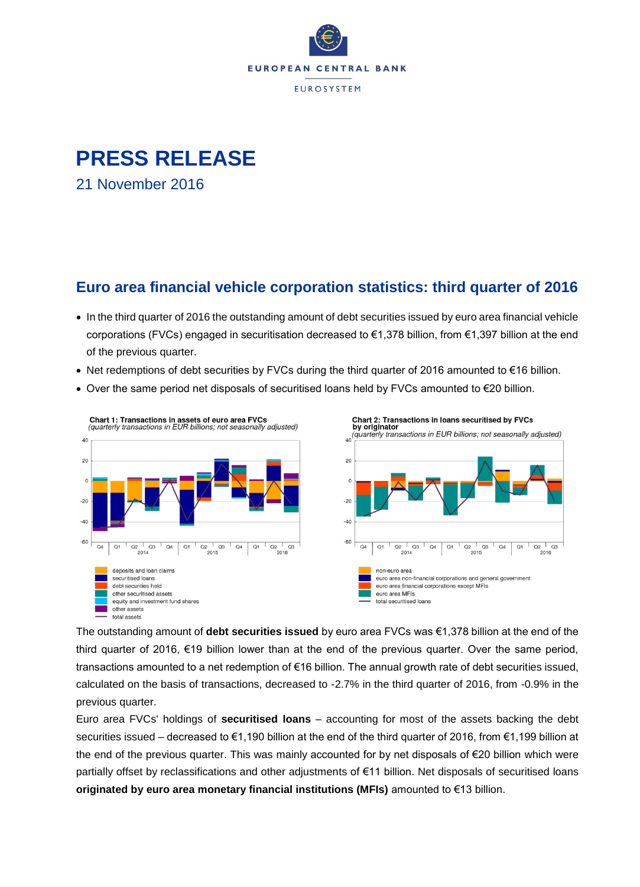

# **PRESS RELEASE**

21 November 2016

### **Euro area financial vehicle corporation statistics: third quarter of 2016**

- In the third quarter of 2016 the outstanding amount of debt securities issued by euro area financial vehicle corporations (FVCs) engaged in securitisation decreased to €1,378 billion, from €1,397 billion at the end of the previous quarter.
- Net redemptions of debt securities by FVCs during the third quarter of 2016 amounted to €16 billion.
- Over the same period net disposals of securitised loans held by FVCs amounted to €20 billion.



The outstanding amount of **debt securities issued** by euro area FVCs was €1,378 billion at the end of the third quarter of 2016, €19 billion lower than at the end of the previous quarter. Over the same period, transactions amounted to a net redemption of €16 billion. The annual growth rate of debt securities issued, calculated on the basis of transactions, decreased to -2.7% in the third quarter of 2016, from -0.9% in the previous quarter.

 $Q2$   $Q3$ 

 $\frac{2016}{}$ 

Euro area FVCs' holdings of **securitised loans** – accounting for most of the assets backing the debt securities issued – decreased to €1,190 billion at the end of the third quarter of 2016, from €1,199 billion at the end of the previous quarter. This was mainly accounted for by net disposals of €20 billion which were partially offset by reclassifications and other adjustments of €11 billion. Net disposals of securitised loans **originated by euro area monetary financial institutions (MFIs)** amounted to €13 billion.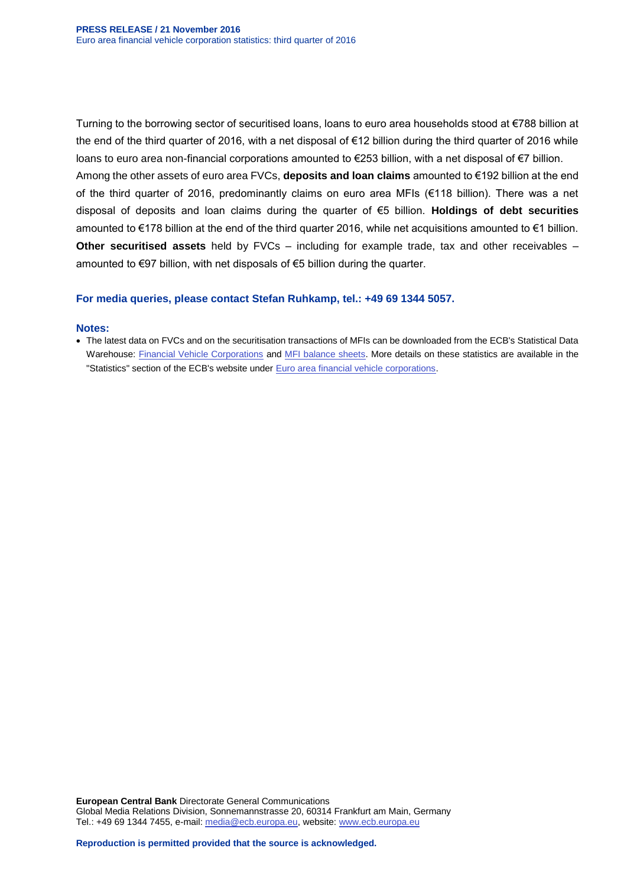Turning to the borrowing sector of securitised loans, loans to euro area households stood at €788 billion at the end of the third quarter of 2016, with a net disposal of €12 billion during the third quarter of 2016 while loans to euro area non-financial corporations amounted to €253 billion, with a net disposal of €7 billion.

Among the other assets of euro area FVCs, **deposits and loan claims** amounted to €192 billion at the end of the third quarter of 2016, predominantly claims on euro area MFIs (€118 billion). There was a net disposal of deposits and loan claims during the quarter of €5 billion. **Holdings of debt securities** amounted to €178 billion at the end of the third quarter 2016, while net acquisitions amounted to €1 billion. **Other securitised assets** held by FVCs – including for example trade, tax and other receivables – amounted to €97 billion, with net disposals of €5 billion during the quarter.

#### **For media queries, please contact Stefan Ruhkamp, tel.: +49 69 1344 5057.**

#### **Notes:**

 The latest data on FVCs and on the securitisation transactions of MFIs can be downloaded from the ECB's Statistical Data Warehouse: [Financial Vehicle Corporations](http://sdw.ecb.europa.eu/browse.do?node=9691119) and [MFI balance sheets.](http://sdw.ecb.europa.eu/browse.do?node=9691115) More details on these statistics are available in the "Statistics" section of the ECB's website under **Euro area financial vehicle corporations**.